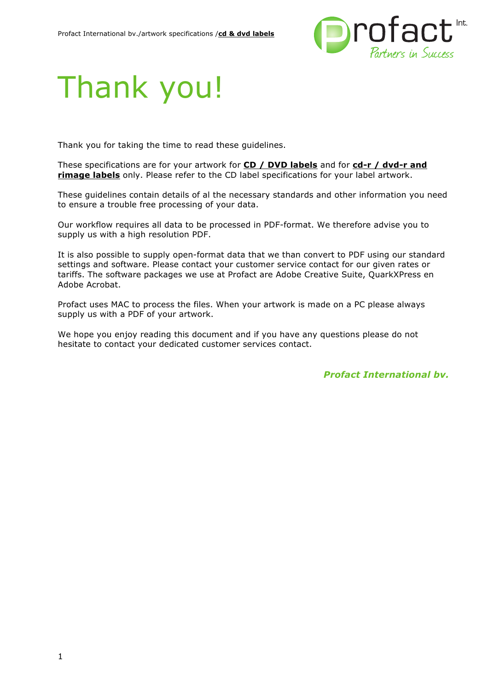

# Thank you!

Thank you for taking the time to read these guidelines.

These specifications are for your artwork for **CD / DVD labels** and for **cd-r / dvd-r and rimage labels** only. Please refer to the CD label specifications for your label artwork.

These guidelines contain details of al the necessary standards and other information you need to ensure a trouble free processing of your data.

Our workflow requires all data to be processed in PDF-format. We therefore advise you to supply us with a high resolution PDF.

It is also possible to supply open-format data that we than convert to PDF using our standard settings and software. Please contact your customer service contact for our given rates or tariffs. The software packages we use at Profact are Adobe Creative Suite, QuarkXPress en Adobe Acrobat.

Profact uses MAC to process the files. When your artwork is made on a PC please always supply us with a PDF of your artwork.

We hope you enjoy reading this document and if you have any questions please do not hesitate to contact your dedicated customer services contact.

*Profact International bv.*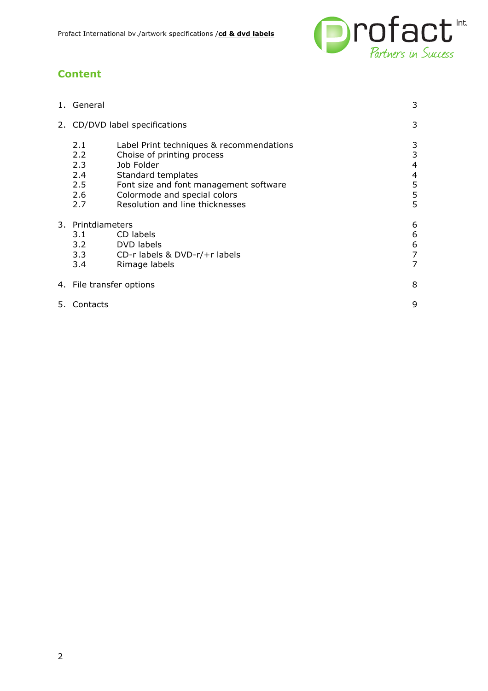

# **Content**

|                                | 1. General                                              |                                                                                                                                                                                                                         | 3                               |
|--------------------------------|---------------------------------------------------------|-------------------------------------------------------------------------------------------------------------------------------------------------------------------------------------------------------------------------|---------------------------------|
| 2. CD/DVD label specifications |                                                         |                                                                                                                                                                                                                         | 3                               |
|                                | 2.1<br>$2.2^{\circ}$<br>2.3<br>2.4<br>2.5<br>2.6<br>2.7 | Label Print techniques & recommendations<br>Choise of printing process<br>Job Folder<br>Standard templates<br>Font size and font management software<br>Colormode and special colors<br>Resolution and line thicknesses | 3<br>3<br>4<br>4<br>5<br>5<br>5 |
|                                | 3. Printdiameters                                       |                                                                                                                                                                                                                         | 6<br>6                          |
|                                | 3.1<br>3.2                                              | CD labels<br>DVD labels                                                                                                                                                                                                 | 6                               |
|                                | 3.3                                                     | CD-r labels & DVD-r/+r labels                                                                                                                                                                                           | $\overline{7}$                  |
|                                | 3.4                                                     | Rimage labels                                                                                                                                                                                                           | 7                               |
|                                | 4. File transfer options                                |                                                                                                                                                                                                                         | 8                               |
| 5.                             | Contacts                                                |                                                                                                                                                                                                                         | 9                               |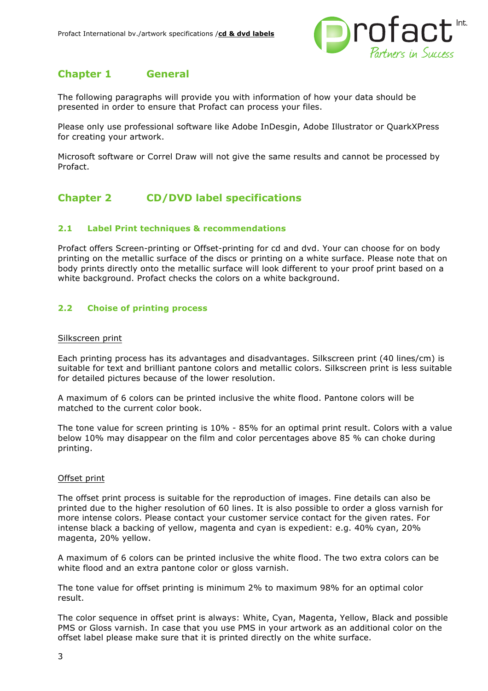

# **Chapter 1 General**

The following paragraphs will provide you with information of how your data should be presented in order to ensure that Profact can process your files.

Please only use professional software like Adobe InDesgin, Adobe Illustrator or QuarkXPress for creating your artwork.

Microsoft software or Correl Draw will not give the same results and cannot be processed by Profact.

# **Chapter 2 CD/DVD label specifications**

# **2.1 Label Print techniques & recommendations**

Profact offers Screen-printing or Offset-printing for cd and dvd. Your can choose for on body printing on the metallic surface of the discs or printing on a white surface. Please note that on body prints directly onto the metallic surface will look different to your proof print based on a white background. Profact checks the colors on a white background.

# **2.2 Choise of printing process**

#### Silkscreen print

Each printing process has its advantages and disadvantages. Silkscreen print (40 lines/cm) is suitable for text and brilliant pantone colors and metallic colors. Silkscreen print is less suitable for detailed pictures because of the lower resolution.

A maximum of 6 colors can be printed inclusive the white flood. Pantone colors will be matched to the current color book.

The tone value for screen printing is 10% - 85% for an optimal print result. Colors with a value below 10% may disappear on the film and color percentages above 85 % can choke during printing.

## Offset print

The offset print process is suitable for the reproduction of images. Fine details can also be printed due to the higher resolution of 60 lines. It is also possible to order a gloss varnish for more intense colors. Please contact your customer service contact for the given rates. For intense black a backing of yellow, magenta and cyan is expedient: e.g. 40% cyan, 20% magenta, 20% yellow.

A maximum of 6 colors can be printed inclusive the white flood. The two extra colors can be white flood and an extra pantone color or gloss varnish.

The tone value for offset printing is minimum 2% to maximum 98% for an optimal color result.

The color sequence in offset print is always: White, Cyan, Magenta, Yellow, Black and possible PMS or Gloss varnish. In case that you use PMS in your artwork as an additional color on the offset label please make sure that it is printed directly on the white surface.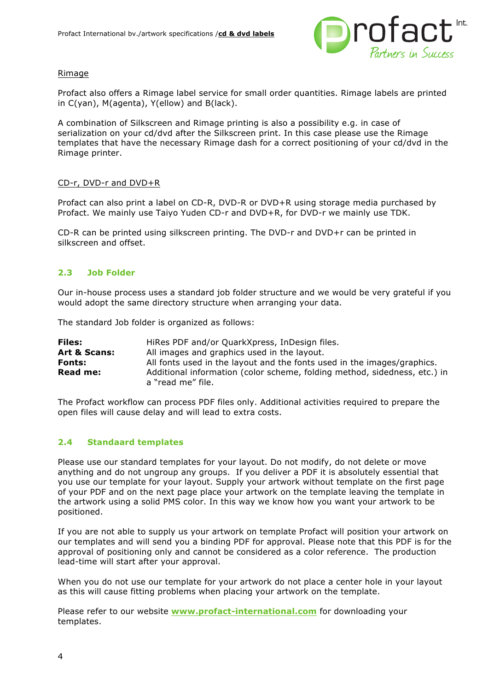

## Rimage

Profact also offers a Rimage label service for small order quantities. Rimage labels are printed in C(yan), M(agenta), Y(ellow) and B(lack).

A combination of Silkscreen and Rimage printing is also a possibility e.g. in case of serialization on your cd/dvd after the Silkscreen print. In this case please use the Rimage templates that have the necessary Rimage dash for a correct positioning of your cd/dvd in the Rimage printer.

#### CD-r, DVD-r and DVD+R

Profact can also print a label on CD-R, DVD-R or DVD+R using storage media purchased by Profact. We mainly use Taiyo Yuden CD-r and DVD+R, for DVD-r we mainly use TDK.

CD-R can be printed using silkscreen printing. The DVD-r and DVD+r can be printed in silkscreen and offset.

# **2.3 Job Folder**

Our in-house process uses a standard job folder structure and we would be very grateful if you would adopt the same directory structure when arranging your data.

The standard Job folder is organized as follows:

| <b>Files:</b>   | HiRes PDF and/or QuarkXpress, InDesign files.                                                  |
|-----------------|------------------------------------------------------------------------------------------------|
| Art & Scans:    | All images and graphics used in the layout.                                                    |
| <b>Fonts:</b>   | All fonts used in the layout and the fonts used in the images/graphics.                        |
| <b>Read me:</b> | Additional information (color scheme, folding method, sidedness, etc.) in<br>a "read me" file. |

The Profact workflow can process PDF files only. Additional activities required to prepare the open files will cause delay and will lead to extra costs.

## **2.4 Standaard templates**

Please use our standard templates for your layout. Do not modify, do not delete or move anything and do not ungroup any groups. If you deliver a PDF it is absolutely essential that you use our template for your layout. Supply your artwork without template on the first page of your PDF and on the next page place your artwork on the template leaving the template in the artwork using a solid PMS color. In this way we know how you want your artwork to be positioned.

If you are not able to supply us your artwork on template Profact will position your artwork on our templates and will send you a binding PDF for approval. Please note that this PDF is for the approval of positioning only and cannot be considered as a color reference. The production lead-time will start after your approval.

When you do not use our template for your artwork do not place a center hole in your layout as this will cause fitting problems when placing your artwork on the template.

Please refer to our website **www.profact-international.com** for downloading your templates.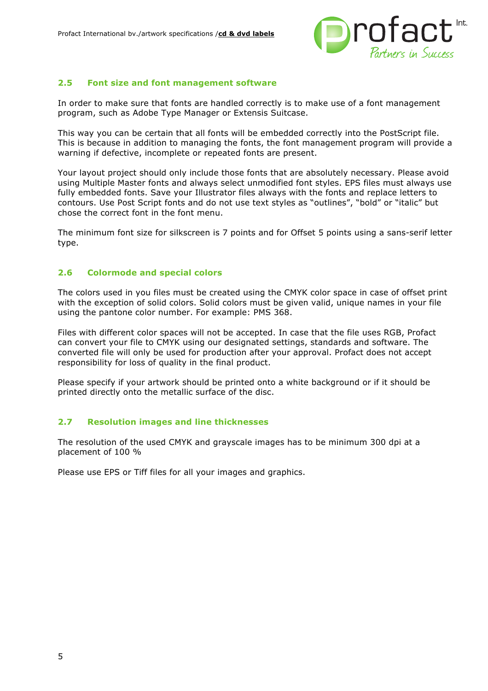

## **2.5 Font size and font management software**

In order to make sure that fonts are handled correctly is to make use of a font management program, such as Adobe Type Manager or Extensis Suitcase.

This way you can be certain that all fonts will be embedded correctly into the PostScript file. This is because in addition to managing the fonts, the font management program will provide a warning if defective, incomplete or repeated fonts are present.

Your layout project should only include those fonts that are absolutely necessary. Please avoid using Multiple Master fonts and always select unmodified font styles. EPS files must always use fully embedded fonts. Save your Illustrator files always with the fonts and replace letters to contours. Use Post Script fonts and do not use text styles as "outlines", "bold" or "italic" but chose the correct font in the font menu.

The minimum font size for silkscreen is 7 points and for Offset 5 points using a sans-serif letter type.

# **2.6 Colormode and special colors**

The colors used in you files must be created using the CMYK color space in case of offset print with the exception of solid colors. Solid colors must be given valid, unique names in your file using the pantone color number. For example: PMS 368.

Files with different color spaces will not be accepted. In case that the file uses RGB, Profact can convert your file to CMYK using our designated settings, standards and software. The converted file will only be used for production after your approval. Profact does not accept responsibility for loss of quality in the final product.

Please specify if your artwork should be printed onto a white background or if it should be printed directly onto the metallic surface of the disc.

## **2.7 Resolution images and line thicknesses**

The resolution of the used CMYK and grayscale images has to be minimum 300 dpi at a placement of 100 %

Please use EPS or Tiff files for all your images and graphics.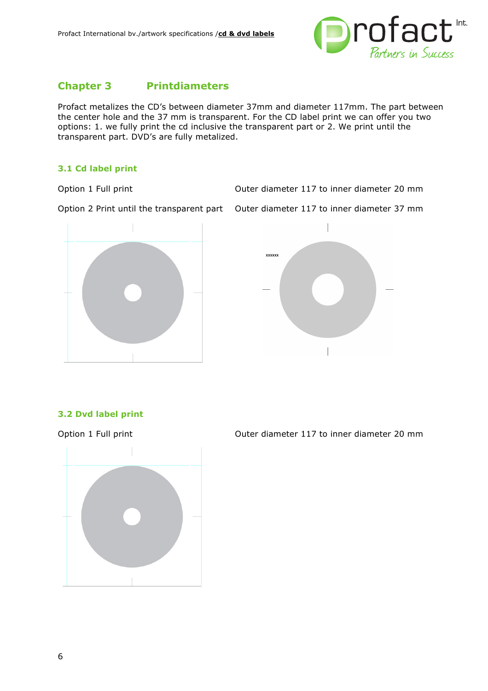

# **Chapter 3 Printdiameters**

Profact metalizes the CD's between diameter 37mm and diameter 117mm. The part between the center hole and the 37 mm is transparent. For the CD label print we can offer you two options: 1. we fully print the cd inclusive the transparent part or 2. We print until the transparent part. DVD's are fully metalized.

# **3.1 Cd label print**

Option 1 Full print Outer diameter 117 to inner diameter 20 mm

Option 2 Print until the transparent part Outer diameter 117 to inner diameter 37 mm





# **3.2 Dvd label print**



Option 1 Full print Outer diameter 117 to inner diameter 20 mm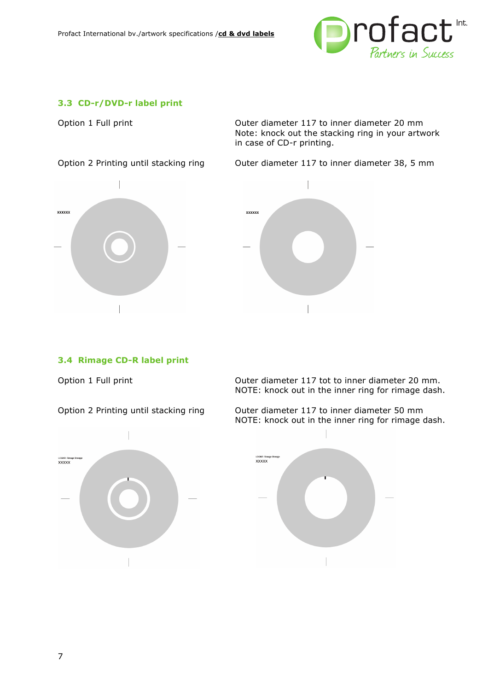

# **3.3 CD-r/DVD-r label print**

Option 1 Full print Outer diameter 117 to inner diameter 20 mm Note: knock out the stacking ring in your artwork in case of CD-r printing.

Option 2 Printing until stacking ring Outer diameter 117 to inner diameter 38, 5 mm



# **3.4 Rimage CD-R label print**



Option 1 Full print **Outer diameter 117** tot to inner diameter 20 mm. NOTE: knock out in the inner ring for rimage dash.

Option 2 Printing until stacking ring Outer diameter 117 to inner diameter 50 mm NOTE: knock out in the inner ring for rimage dash.

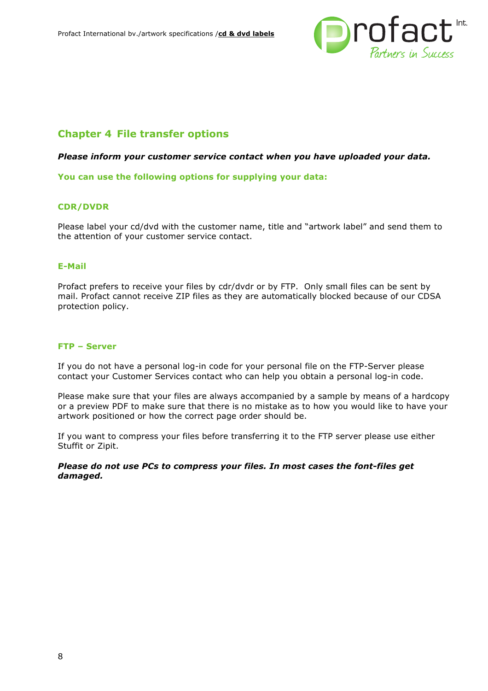

# **Chapter 4 File transfer options**

#### *Please inform your customer service contact when you have uploaded your data.*

**You can use the following options for supplying your data:**

## **CDR/DVDR**

Please label your cd/dvd with the customer name, title and "artwork label" and send them to the attention of your customer service contact.

### **E-Mail**

Profact prefers to receive your files by cdr/dvdr or by FTP. Only small files can be sent by mail. Profact cannot receive ZIP files as they are automatically blocked because of our CDSA protection policy.

#### **FTP – Server**

If you do not have a personal log-in code for your personal file on the FTP-Server please contact your Customer Services contact who can help you obtain a personal log-in code.

Please make sure that your files are always accompanied by a sample by means of a hardcopy or a preview PDF to make sure that there is no mistake as to how you would like to have your artwork positioned or how the correct page order should be.

If you want to compress your files before transferring it to the FTP server please use either Stuffit or Zipit.

#### *Please do not use PCs to compress your files. In most cases the font-files get damaged.*